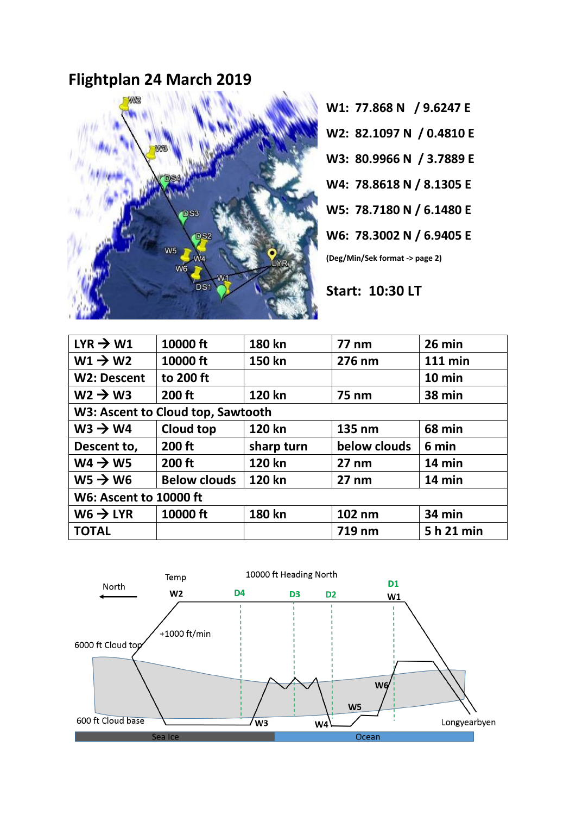## **Flightplan 24 March 2019**



**W1: 77.868 N / 9.6247 E**

**W2: 82.1097 N / 0.4810 E**

- **W3: 80.9966 N / 3.7889 E**
- **W4: 78.8618 N / 8.1305 E**
- **W5: 78.7180 N / 6.1480 E**
- **W6: 78.3002 N / 6.9405 E**

**(Deg/Min/Sek format -> page 2)**

**Start: 10:30 LT**

| $LYR \rightarrow W1$              | 10000 ft            | 180 kn     | <b>77 nm</b>    | 26 min         |
|-----------------------------------|---------------------|------------|-----------------|----------------|
| $W1 \rightarrow W2$               | 10000 ft            | 150 kn     | 276 nm          | <b>111 min</b> |
| <b>W2: Descent</b>                | to 200 ft           |            |                 | 10 min         |
| $W2 \rightarrow W3$               | 200 ft              | 120 kn     | <b>75 nm</b>    | 38 min         |
| W3: Ascent to Cloud top, Sawtooth |                     |            |                 |                |
| $ws \rightarrow WA$               | Cloud top           | 120 kn     | 135 nm          | 68 min         |
| Descent to,                       | 200 ft              | sharp turn | below clouds    | 6 min          |
| $W4 \rightarrow W5$               | 200 ft              | 120 kn     | $27 \text{ nm}$ | 14 min         |
| $WS \rightarrow W6$               | <b>Below clouds</b> | 120 kn     | $27 \text{ nm}$ | 14 min         |
| <b>W6: Ascent to 10000 ft</b>     |                     |            |                 |                |
| $W6 \rightarrow LYR$              | 10000 ft            | 180 kn     | 102 nm          | 34 min         |
| <b>TOTAL</b>                      |                     |            | 719 nm          | 5 h 21 min     |